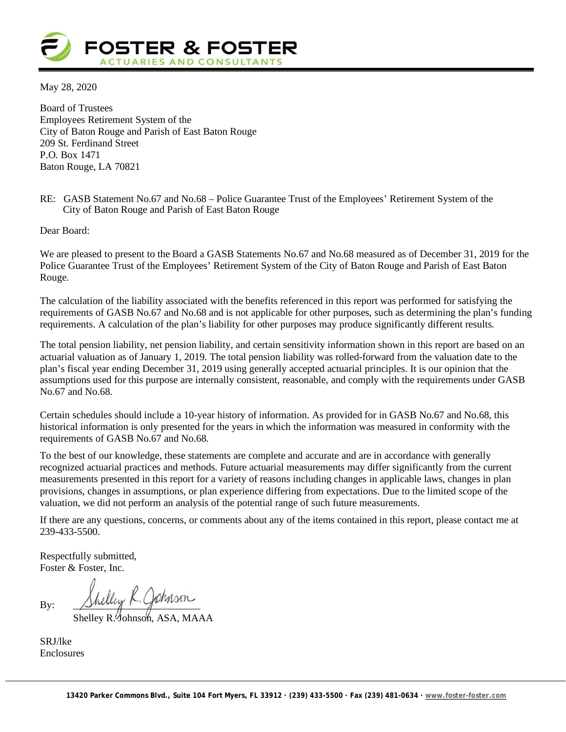

May 28, 2020

Board of Trustees Employees Retirement System of the City of Baton Rouge and Parish of East Baton Rouge 209 St. Ferdinand Street P.O. Box 1471 Baton Rouge, LA 70821

#### RE: GASB Statement No.67 and No.68 – Police Guarantee Trust of the Employees' Retirement System of the City of Baton Rouge and Parish of East Baton Rouge

Dear Board:

We are pleased to present to the Board a GASB Statements No.67 and No.68 measured as of December 31, 2019 for the Police Guarantee Trust of the Employees' Retirement System of the City of Baton Rouge and Parish of East Baton Rouge.

The calculation of the liability associated with the benefits referenced in this report was performed for satisfying the requirements of GASB No.67 and No.68 and is not applicable for other purposes, such as determining the plan's funding requirements. A calculation of the plan's liability for other purposes may produce significantly different results.

The total pension liability, net pension liability, and certain sensitivity information shown in this report are based on an actuarial valuation as of January 1, 2019. The total pension liability was rolled-forward from the valuation date to the plan's fiscal year ending December 31, 2019 using generally accepted actuarial principles. It is our opinion that the assumptions used for this purpose are internally consistent, reasonable, and comply with the requirements under GASB No.67 and No.68.

Certain schedules should include a 10-year history of information. As provided for in GASB No.67 and No.68, this historical information is only presented for the years in which the information was measured in conformity with the requirements of GASB No.67 and No.68.

To the best of our knowledge, these statements are complete and accurate and are in accordance with generally recognized actuarial practices and methods. Future actuarial measurements may differ significantly from the current measurements presented in this report for a variety of reasons including changes in applicable laws, changes in plan provisions, changes in assumptions, or plan experience differing from expectations. Due to the limited scope of the valuation, we did not perform an analysis of the potential range of such future measurements.

If there are any questions, concerns, or comments about any of the items contained in this report, please contact me at 239-433-5500.

Respectfully submitted, Foster & Foster, Inc.

By:  $\Delta$ hang  $\vdash$ 

Shelley R. Johnson, ASA, MAAA

SRJ/lke Enclosures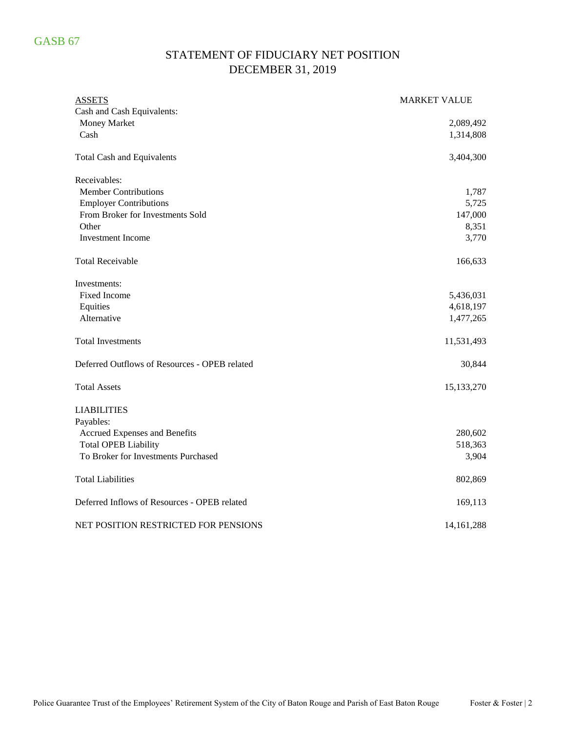# STATEMENT OF FIDUCIARY NET POSITION DECEMBER 31, 2019

| <b>ASSETS</b>                                 | <b>MARKET VALUE</b> |
|-----------------------------------------------|---------------------|
| Cash and Cash Equivalents:                    |                     |
| Money Market                                  | 2,089,492           |
| Cash                                          | 1,314,808           |
| <b>Total Cash and Equivalents</b>             | 3,404,300           |
| Receivables:                                  |                     |
| <b>Member Contributions</b>                   | 1,787               |
| <b>Employer Contributions</b>                 | 5,725               |
| From Broker for Investments Sold              | 147,000             |
| Other                                         | 8,351               |
| <b>Investment Income</b>                      | 3,770               |
| <b>Total Receivable</b>                       | 166,633             |
| Investments:                                  |                     |
| <b>Fixed Income</b>                           | 5,436,031           |
| Equities                                      | 4,618,197           |
| Alternative                                   | 1,477,265           |
| <b>Total Investments</b>                      | 11,531,493          |
| Deferred Outflows of Resources - OPEB related | 30,844              |
| <b>Total Assets</b>                           | 15,133,270          |
| <b>LIABILITIES</b>                            |                     |
| Payables:                                     |                     |
| Accrued Expenses and Benefits                 | 280,602             |
| <b>Total OPEB Liability</b>                   | 518,363             |
| To Broker for Investments Purchased           | 3,904               |
| <b>Total Liabilities</b>                      | 802,869             |
| Deferred Inflows of Resources - OPEB related  | 169,113             |
| NET POSITION RESTRICTED FOR PENSIONS          | 14, 161, 288        |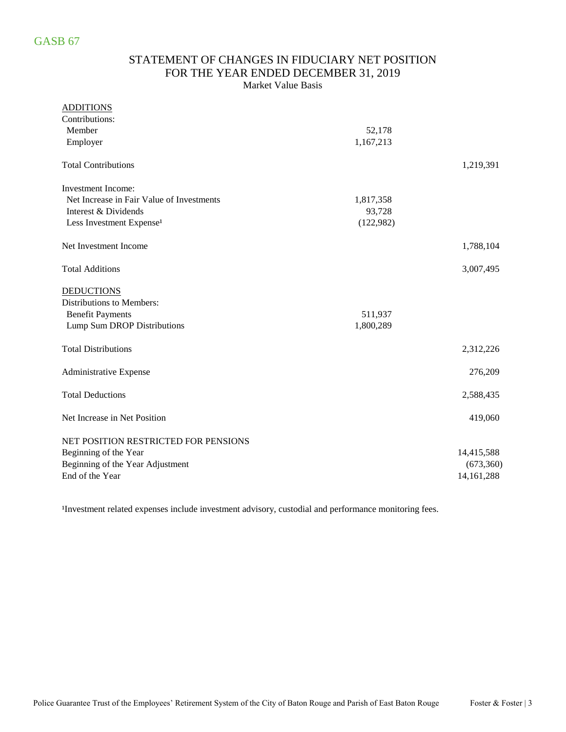### STATEMENT OF CHANGES IN FIDUCIARY NET POSITION FOR THE YEAR ENDED DECEMBER 31, 2019 Market Value Basis

| <b>ADDITIONS</b>                          |           |              |
|-------------------------------------------|-----------|--------------|
| Contributions:                            |           |              |
| Member                                    | 52,178    |              |
| Employer                                  | 1,167,213 |              |
| <b>Total Contributions</b>                |           | 1,219,391    |
| <b>Investment Income:</b>                 |           |              |
| Net Increase in Fair Value of Investments | 1,817,358 |              |
| Interest & Dividends                      | 93,728    |              |
| Less Investment Expense <sup>1</sup>      | (122,982) |              |
| Net Investment Income                     |           | 1,788,104    |
| <b>Total Additions</b>                    |           | 3,007,495    |
| <b>DEDUCTIONS</b>                         |           |              |
| Distributions to Members:                 |           |              |
| <b>Benefit Payments</b>                   | 511,937   |              |
| Lump Sum DROP Distributions               | 1,800,289 |              |
| <b>Total Distributions</b>                |           | 2,312,226    |
| Administrative Expense                    |           | 276,209      |
| <b>Total Deductions</b>                   |           | 2,588,435    |
| Net Increase in Net Position              |           | 419,060      |
| NET POSITION RESTRICTED FOR PENSIONS      |           |              |
| Beginning of the Year                     |           | 14,415,588   |
| Beginning of the Year Adjustment          |           | (673, 360)   |
| End of the Year                           |           | 14, 161, 288 |

<sup>1</sup>Investment related expenses include investment advisory, custodial and performance monitoring fees.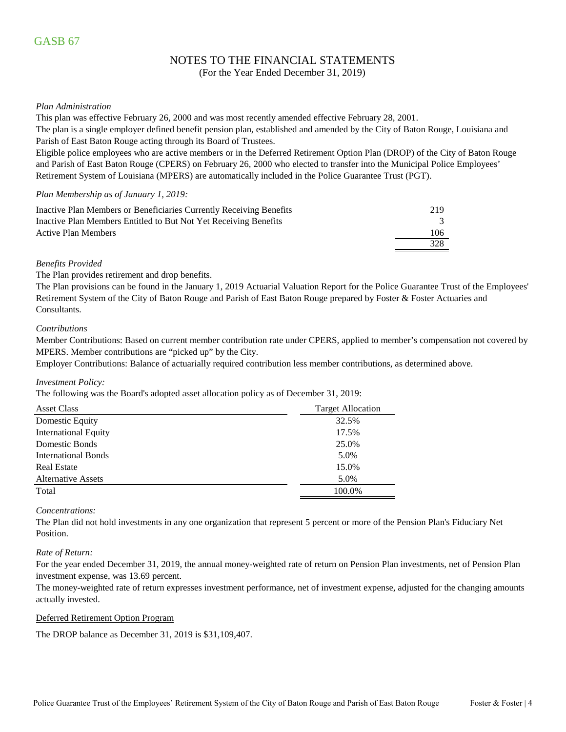### NOTES TO THE FINANCIAL STATEMENTS

(For the Year Ended December 31, 2019)

#### *Plan Administration*

This plan was effective February 26, 2000 and was most recently amended effective February 28, 2001.

The plan is a single employer defined benefit pension plan, established and amended by the City of Baton Rouge, Louisiana and Parish of East Baton Rouge acting through its Board of Trustees.

Eligible police employees who are active members or in the Deferred Retirement Option Plan (DROP) of the City of Baton Rouge and Parish of East Baton Rouge (CPERS) on February 26, 2000 who elected to transfer into the Municipal Police Employees' Retirement System of Louisiana (MPERS) are automatically included in the Police Guarantee Trust (PGT).

#### *Plan Membership as of January 1, 2019:*

| Inactive Plan Members or Beneficiaries Currently Receiving Benefits | 219 |
|---------------------------------------------------------------------|-----|
| Inactive Plan Members Entitled to But Not Yet Receiving Benefits    |     |
| Active Plan Members                                                 | 106 |
|                                                                     | 328 |

#### *Benefits Provided*

The Plan provides retirement and drop benefits.

The Plan provisions can be found in the January 1, 2019 Actuarial Valuation Report for the Police Guarantee Trust of the Employees' Retirement System of the City of Baton Rouge and Parish of East Baton Rouge prepared by Foster & Foster Actuaries and Consultants.

#### *Contributions*

Member Contributions: Based on current member contribution rate under CPERS, applied to member's compensation not covered by MPERS. Member contributions are "picked up" by the City.

Employer Contributions: Balance of actuarially required contribution less member contributions, as determined above.

#### *Investment Policy:*

The following was the Board's adopted asset allocation policy as of December 31, 2019:

| <b>Asset Class</b>         | <b>Target Allocation</b> |
|----------------------------|--------------------------|
| Domestic Equity            | 32.5%                    |
| International Equity       | 17.5%                    |
| <b>Domestic Bonds</b>      | 25.0%                    |
| <b>International Bonds</b> | 5.0%                     |
| <b>Real Estate</b>         | 15.0%                    |
| <b>Alternative Assets</b>  | 5.0%                     |
| Total                      | 100.0%                   |

#### *Concentrations:*

The Plan did not hold investments in any one organization that represent 5 percent or more of the Pension Plan's Fiduciary Net Position.

#### *Rate of Return:*

For the year ended December 31, 2019, the annual money-weighted rate of return on Pension Plan investments, net of Pension Plan investment expense, was 13.69 percent.

The money-weighted rate of return expresses investment performance, net of investment expense, adjusted for the changing amounts actually invested.

#### Deferred Retirement Option Program

The DROP balance as December 31, 2019 is \$31,109,407.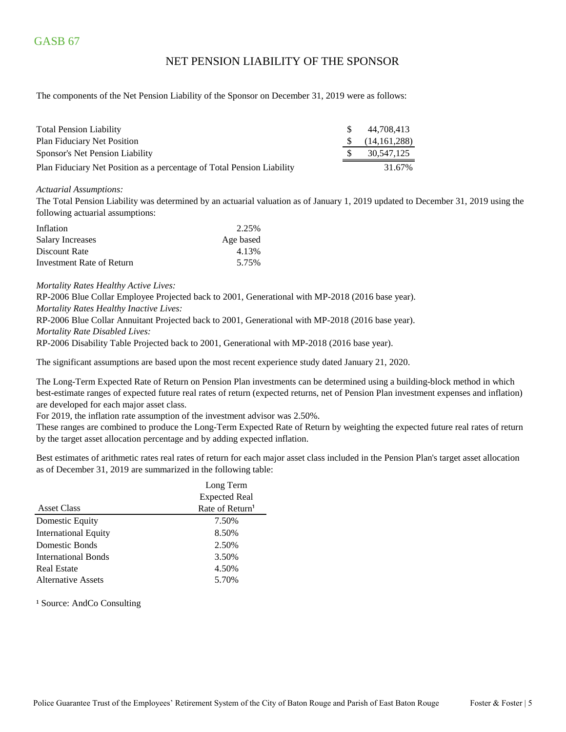### NET PENSION LIABILITY OF THE SPONSOR

The components of the Net Pension Liability of the Sponsor on December 31, 2019 were as follows:

| <b>Total Pension Liability</b>                                         | -SS | 44.708.413   |
|------------------------------------------------------------------------|-----|--------------|
| Plan Fiduciary Net Position                                            |     | (14,161,288) |
| Sponsor's Net Pension Liability                                        |     | 30.547.125   |
| Plan Fiduciary Net Position as a percentage of Total Pension Liability |     | 31.67%       |

#### *Actuarial Assumptions:*

The Total Pension Liability was determined by an actuarial valuation as of January 1, 2019 updated to December 31, 2019 using the following actuarial assumptions:

| Inflation                 | 2.25%     |
|---------------------------|-----------|
| <b>Salary Increases</b>   | Age based |
| Discount Rate             | 4.13%     |
| Investment Rate of Return | 5.75%     |

*Mortality Rates Healthy Active Lives:*

RP-2006 Blue Collar Employee Projected back to 2001, Generational with MP-2018 (2016 base year). *Mortality Rates Healthy Inactive Lives:* RP-2006 Blue Collar Annuitant Projected back to 2001, Generational with MP-2018 (2016 base year).

*Mortality Rate Disabled Lives:*

RP-2006 Disability Table Projected back to 2001, Generational with MP-2018 (2016 base year).

The significant assumptions are based upon the most recent experience study dated January 21, 2020.

The Long-Term Expected Rate of Return on Pension Plan investments can be determined using a building-block method in which best-estimate ranges of expected future real rates of return (expected returns, net of Pension Plan investment expenses and inflation) are developed for each major asset class.

For 2019, the inflation rate assumption of the investment advisor was 2.50%.

These ranges are combined to produce the Long-Term Expected Rate of Return by weighting the expected future real rates of return by the target asset allocation percentage and by adding expected inflation.

Best estimates of arithmetic rates real rates of return for each major asset class included in the Pension Plan's target asset allocation as of December 31, 2019 are summarized in the following table:

|                             | Long Term                   |
|-----------------------------|-----------------------------|
|                             | <b>Expected Real</b>        |
| <b>Asset Class</b>          | Rate of Return <sup>1</sup> |
| Domestic Equity             | 7.50%                       |
| <b>International Equity</b> | 8.50%                       |
| Domestic Bonds              | 2.50%                       |
| <b>International Bonds</b>  | 3.50%                       |
| <b>Real Estate</b>          | 4.50%                       |
| Alternative Assets          | 5.70%                       |

<sup>1</sup> Source: AndCo Consulting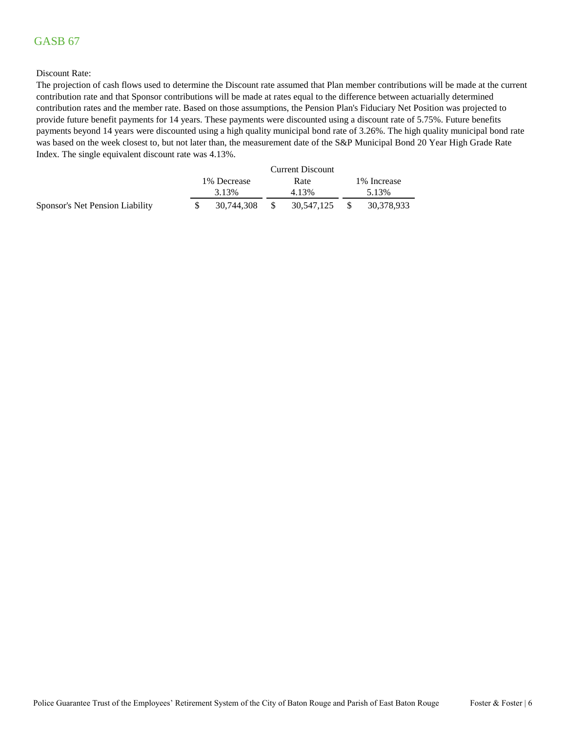#### Discount Rate:

The projection of cash flows used to determine the Discount rate assumed that Plan member contributions will be made at the current contribution rate and that Sponsor contributions will be made at rates equal to the difference between actuarially determined contribution rates and the member rate. Based on those assumptions, the Pension Plan's Fiduciary Net Position was projected to provide future benefit payments for 14 years. These payments were discounted using a discount rate of 5.75%. Future benefits payments beyond 14 years were discounted using a high quality municipal bond rate of 3.26%. The high quality municipal bond rate was based on the week closest to, but not later than, the measurement date of the S&P Municipal Bond 20 Year High Grade Rate Index. The single equivalent discount rate was 4.13%.

|                                 |              |     | <b>Current Discount</b> |     |             |
|---------------------------------|--------------|-----|-------------------------|-----|-------------|
|                                 | 1\% Decrease |     | Rate                    |     | 1% Increase |
|                                 | 3.13%        |     | 4.13%                   |     | 5.13%       |
| Sponsor's Net Pension Liability | 30.744.308   | - S | 30,547,125              | -SS | 30,378,933  |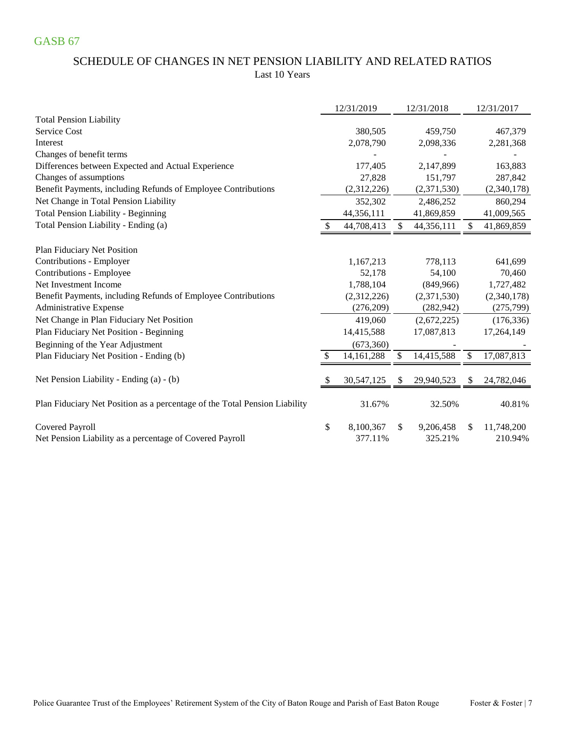### SCHEDULE OF CHANGES IN NET PENSION LIABILITY AND RELATED RATIOS Last 10 Years

|                                                                            |               | 12/31/2019   |    | 12/31/2018  |     | 12/31/2017  |
|----------------------------------------------------------------------------|---------------|--------------|----|-------------|-----|-------------|
| <b>Total Pension Liability</b>                                             |               |              |    |             |     |             |
| <b>Service Cost</b>                                                        |               | 380,505      |    | 459,750     |     | 467,379     |
| Interest                                                                   |               | 2,078,790    |    | 2,098,336   |     | 2,281,368   |
| Changes of benefit terms                                                   |               |              |    |             |     |             |
| Differences between Expected and Actual Experience                         |               | 177,405      |    | 2,147,899   |     | 163,883     |
| Changes of assumptions                                                     |               | 27,828       |    | 151,797     |     | 287,842     |
| Benefit Payments, including Refunds of Employee Contributions              |               | (2,312,226)  |    | (2,371,530) |     | (2,340,178) |
| Net Change in Total Pension Liability                                      |               | 352,302      |    | 2,486,252   |     | 860,294     |
| <b>Total Pension Liability - Beginning</b>                                 |               | 44,356,111   |    | 41,869,859  |     | 41,009,565  |
| Total Pension Liability - Ending (a)                                       |               | 44,708,413   | \$ | 44,356,111  | \$  | 41,869,859  |
| Plan Fiduciary Net Position                                                |               |              |    |             |     |             |
| Contributions - Employer                                                   |               | 1,167,213    |    | 778,113     |     | 641,699     |
| Contributions - Employee                                                   |               | 52,178       |    | 54,100      |     | 70,460      |
| Net Investment Income                                                      |               | 1,788,104    |    | (849,966)   |     | 1,727,482   |
| Benefit Payments, including Refunds of Employee Contributions              |               | (2,312,226)  |    | (2,371,530) |     | (2,340,178) |
| Administrative Expense                                                     |               | (276,209)    |    | (282, 942)  |     | (275, 799)  |
| Net Change in Plan Fiduciary Net Position                                  |               | 419,060      |    | (2,672,225) |     | (176, 336)  |
| Plan Fiduciary Net Position - Beginning                                    |               | 14,415,588   |    | 17,087,813  |     | 17,264,149  |
| Beginning of the Year Adjustment                                           |               | (673,360)    |    |             |     |             |
| Plan Fiduciary Net Position - Ending (b)                                   |               | 14, 161, 288 | \$ | 14,415,588  | \$  | 17,087,813  |
| Net Pension Liability - Ending (a) - (b)                                   | <sup>\$</sup> | 30,547,125   | \$ | 29,940,523  | \$. | 24,782,046  |
| Plan Fiduciary Net Position as a percentage of the Total Pension Liability |               | 31.67%       |    | 32.50%      |     | 40.81%      |
| Covered Payroll                                                            | \$            | 8,100,367    | S  | 9,206,458   | \$. | 11,748,200  |
| Net Pension Liability as a percentage of Covered Payroll                   |               | 377.11%      |    | 325.21%     |     | 210.94%     |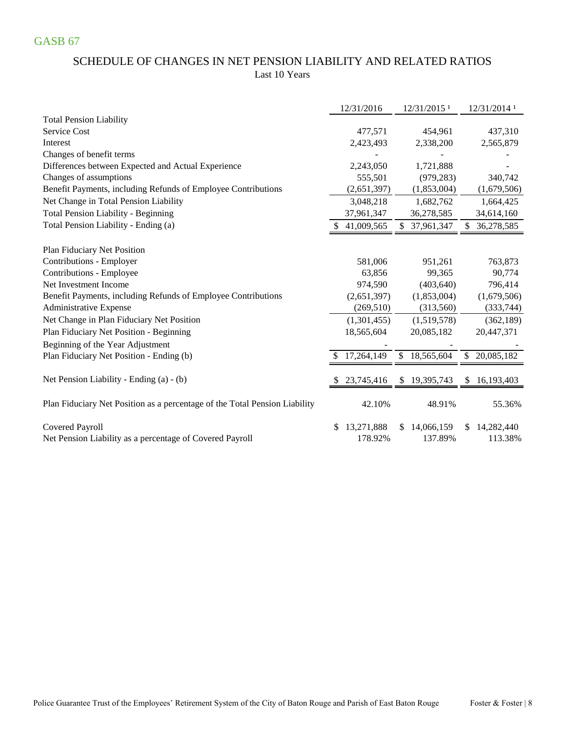### SCHEDULE OF CHANGES IN NET PENSION LIABILITY AND RELATED RATIOS Last 10 Years

|                                                                             |   | 12/31/2016            |              | 12/31/2015 <sup>1</sup> |                | 12/31/2014 1          |
|-----------------------------------------------------------------------------|---|-----------------------|--------------|-------------------------|----------------|-----------------------|
| <b>Total Pension Liability</b>                                              |   |                       |              |                         |                |                       |
| Service Cost                                                                |   | 477,571               |              | 454,961                 |                | 437,310               |
| Interest                                                                    |   | 2,423,493             |              | 2,338,200               |                | 2,565,879             |
| Changes of benefit terms                                                    |   |                       |              |                         |                |                       |
| Differences between Expected and Actual Experience                          |   | 2,243,050             |              | 1,721,888               |                |                       |
| Changes of assumptions                                                      |   | 555,501               |              | (979, 283)              |                | 340,742               |
| Benefit Payments, including Refunds of Employee Contributions               |   | (2,651,397)           |              | (1,853,004)             |                | (1,679,506)           |
| Net Change in Total Pension Liability                                       |   | 3,048,218             |              | 1,682,762               |                | 1,664,425             |
| Total Pension Liability - Beginning                                         |   | 37,961,347            |              | 36,278,585              |                | 34,614,160            |
| Total Pension Liability - Ending (a)                                        |   | 41,009,565            |              | \$ 37,961,347           | \$.            | 36,278,585            |
| Plan Fiduciary Net Position                                                 |   |                       |              |                         |                |                       |
| Contributions - Employer                                                    |   | 581,006               |              | 951,261                 |                | 763,873               |
| Contributions - Employee                                                    |   | 63,856                |              | 99,365                  |                | 90,774                |
| Net Investment Income                                                       |   | 974,590               |              | (403, 640)              |                | 796,414               |
| Benefit Payments, including Refunds of Employee Contributions               |   | (2,651,397)           |              | (1,853,004)             |                | (1,679,506)           |
| Administrative Expense                                                      |   | (269, 510)            |              | (313, 560)              |                | (333, 744)            |
| Net Change in Plan Fiduciary Net Position                                   |   | (1,301,455)           |              | (1,519,578)             |                | (362, 189)            |
| Plan Fiduciary Net Position - Beginning                                     |   | 18,565,604            |              | 20,085,182              |                | 20,447,371            |
| Beginning of the Year Adjustment                                            |   |                       |              |                         |                |                       |
| Plan Fiduciary Net Position - Ending (b)                                    |   | 17,264,149            | $\mathbb{S}$ | 18,565,604              | $\mathbb{S}^-$ | 20,085,182            |
|                                                                             |   |                       |              |                         |                |                       |
| Net Pension Liability - Ending (a) - (b)                                    |   | 23,745,416            | \$           | 19,395,743              | \$             | 16,193,403            |
| Plan Fiduciary Net Position as a percentage of the Total Pension Liability  |   | 42.10%                |              | 48.91%                  |                | 55.36%                |
| Covered Payroll<br>Net Pension Liability as a percentage of Covered Payroll | S | 13,271,888<br>178.92% |              | \$14,066,159<br>137.89% | \$.            | 14,282,440<br>113.38% |
|                                                                             |   |                       |              |                         |                |                       |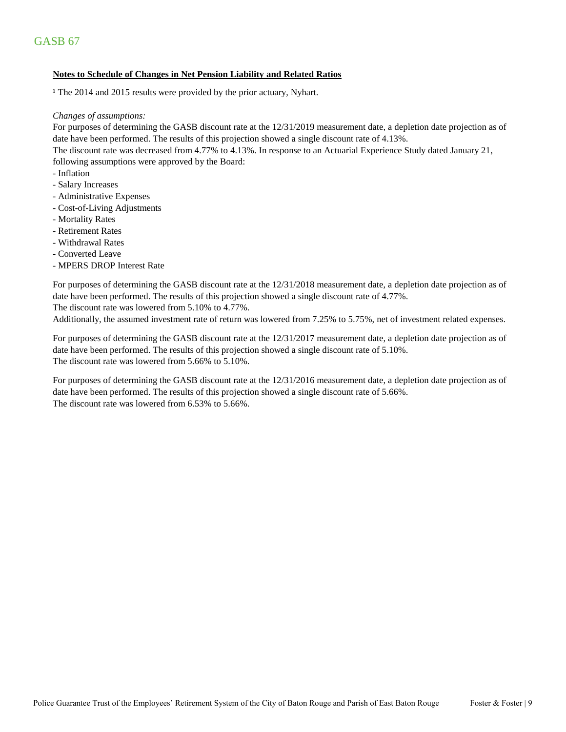#### **Notes to Schedule of Changes in Net Pension Liability and Related Ratios**

<sup>1</sup> The 2014 and 2015 results were provided by the prior actuary, Nyhart.

#### *Changes of assumptions:*

For purposes of determining the GASB discount rate at the 12/31/2019 measurement date, a depletion date projection as of date have been performed. The results of this projection showed a single discount rate of 4.13%.

The discount rate was decreased from 4.77% to 4.13%. In response to an Actuarial Experience Study dated January 21, following assumptions were approved by the Board:

- Inflation
- Salary Increases
- Administrative Expenses
- Cost-of-Living Adjustments
- Mortality Rates
- Retirement Rates
- Withdrawal Rates
- Converted Leave
- MPERS DROP Interest Rate

For purposes of determining the GASB discount rate at the 12/31/2018 measurement date, a depletion date projection as of date have been performed. The results of this projection showed a single discount rate of 4.77%.

The discount rate was lowered from 5.10% to 4.77%.

Additionally, the assumed investment rate of return was lowered from 7.25% to 5.75%, net of investment related expenses.

For purposes of determining the GASB discount rate at the 12/31/2017 measurement date, a depletion date projection as of date have been performed. The results of this projection showed a single discount rate of 5.10%. The discount rate was lowered from 5.66% to 5.10%.

The discount rate was lowered from 6.53% to 5.66%. For purposes of determining the GASB discount rate at the 12/31/2016 measurement date, a depletion date projection as of date have been performed. The results of this projection showed a single discount rate of 5.66%.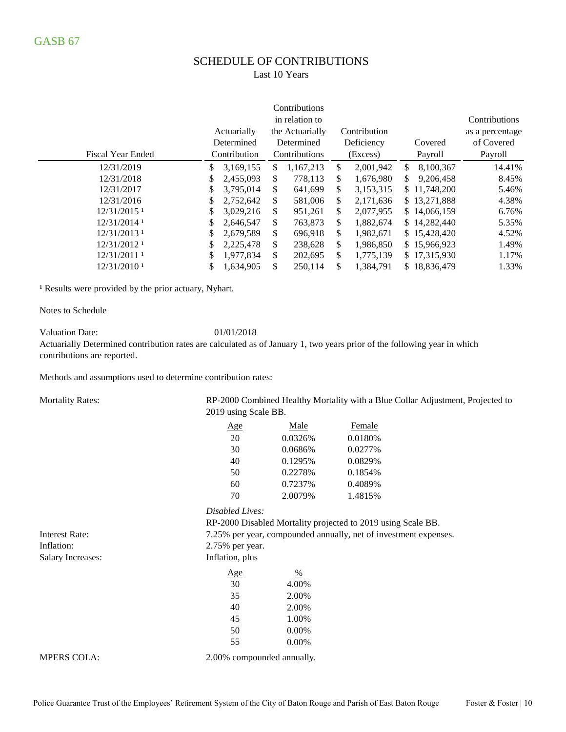# SCHEDULE OF CONTRIBUTIONS

Last 10 Years

|                          |    |              |    | Contributions   |                 |     |              |                 |
|--------------------------|----|--------------|----|-----------------|-----------------|-----|--------------|-----------------|
|                          |    |              |    | in relation to  |                 |     |              | Contributions   |
|                          |    | Actuarially  |    | the Actuarially | Contribution    |     |              | as a percentage |
|                          |    | Determined   |    | Determined      | Deficiency      |     | Covered      | of Covered      |
| <b>Fiscal Year Ended</b> |    | Contribution |    | Contributions   | (Excess)        |     | Payroll      | Payroll         |
| 12/31/2019               | \$ | 3,169,155    | S  | 1,167,213       | \$<br>2,001,942 | \$. | 8,100,367    | 14.41%          |
| 12/31/2018               | \$ | 2,455,093    | \$ | 778,113         | \$<br>1,676,980 | \$. | 9,206,458    | 8.45%           |
| 12/31/2017               | \$ | 3,795,014    | \$ | 641,699         | \$<br>3,153,315 |     | \$11,748,200 | 5.46%           |
| 12/31/2016               | \$ | 2,752,642    | \$ | 581,006         | \$<br>2,171,636 |     | \$13,271,888 | 4.38%           |
| 12/31/2015 <sup>1</sup>  | S  | 3,029,216    | \$ | 951,261         | \$<br>2,077,955 |     | \$14,066,159 | 6.76%           |
| 12/31/2014 1             | \$ | 2,646,547    | \$ | 763,873         | \$<br>1,882,674 |     | \$14,282,440 | 5.35%           |
| 12/31/2013 1             | \$ | 2,679,589    | \$ | 696,918         | \$<br>1,982,671 |     | \$15,428,420 | 4.52%           |
| 12/31/2012 1             | \$ | 2,225,478    | \$ | 238,628         | \$<br>1,986,850 |     | \$15,966,923 | 1.49%           |
| 12/31/2011 1             | \$ | 1,977,834    | \$ | 202,695         | \$<br>1,775,139 |     | \$17,315,930 | 1.17%           |
| 12/31/2010 1             | \$ | 1,634,905    | \$ | 250,114         | \$<br>1.384.791 |     | \$18,836,479 | 1.33%           |

<sup>1</sup> Results were provided by the prior actuary, Nyhart.

#### Notes to Schedule

Valuation Date: 01/01/2018

Actuarially Determined contribution rates are calculated as of January 1, two years prior of the following year in which contributions are reported.

Methods and assumptions used to determine contribution rates:

Mortality Rates:

RP-2000 Combined Healthy Mortality with a Blue Collar Adjustment, Projected to 2019 using Scale BB.

| Age | Male    | Female  |
|-----|---------|---------|
| 20  | 0.0326% | 0.0180% |
| 30  | 0.0686% | 0.0277% |
| 40  | 0.1295% | 0.0829% |
| 50  | 0.2278% | 0.1854% |
| 60  | 0.7237% | 0.4089% |
| 70  | 2.0079% | 1.4815% |

### *Disabled Lives:*

Salary Increases: Inflation, plus  $\frac{\text{Age}}{\text{6}}$ 30 4.00% 35 2.00% 40 2.00% 45 1.00% 50 0.00% RP-2000 Disabled Mortality projected to 2019 using Scale BB. 7.25% per year, compounded annually, net of investment expenses. 2.75% per year.

Interest Rate: Inflation:

MPERS COLA:  $2.00\%$  compounded annually.

55 0.00%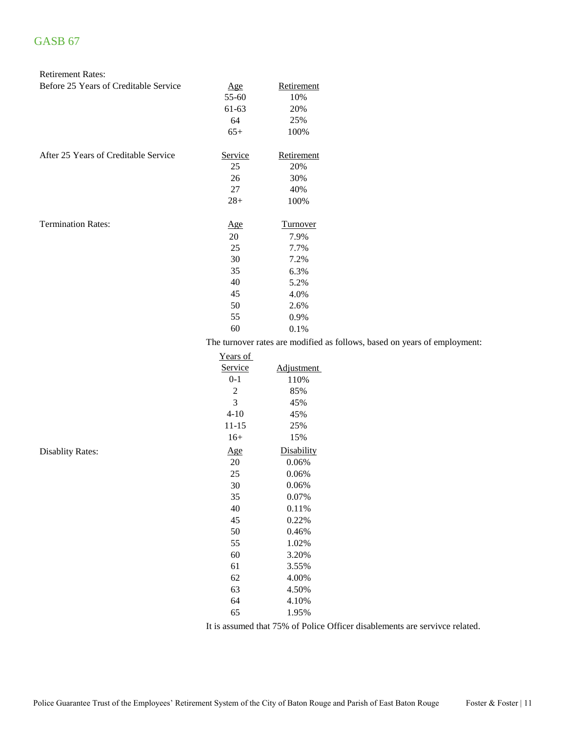#### Retirement Rates:

| Before 25 Years of Creditable Service | Age        | Retirement                                                                |
|---------------------------------------|------------|---------------------------------------------------------------------------|
|                                       | 55-60      | 10%                                                                       |
|                                       | 61-63      | 20%                                                                       |
|                                       | 64         | 25%                                                                       |
|                                       | $65+$      | 100%                                                                      |
| After 25 Years of Creditable Service  | Service    | Retirement                                                                |
|                                       | 25         | 20%                                                                       |
|                                       | 26         | 30%                                                                       |
|                                       | 27         | 40%                                                                       |
|                                       | $28+$      | 100%                                                                      |
| <b>Termination Rates:</b>             | <u>Age</u> | <b>Turnover</b>                                                           |
|                                       | 20         | 7.9%                                                                      |
|                                       | 25         | 7.7%                                                                      |
|                                       | 30         | 7.2%                                                                      |
|                                       | 35         | 6.3%                                                                      |
|                                       | 40         | 5.2%                                                                      |
|                                       | 45         | 4.0%                                                                      |
|                                       | 50         | 2.6%                                                                      |
|                                       | 55         | 0.9%                                                                      |
|                                       | 60         | 0.1%                                                                      |
|                                       |            | The turnover rates are modified as follows, based on years of employment: |

Years of<br>Service ervice Adjustment<br>0-1 110% 0-1 110%<br>2 85% 85%  $3$  45%<br>4-10 45% 45%<br>25%  $11-15$ 16+ 15% Disablity Rates:  $\frac{\text{Age}}{20}$  Disability 0.06%  $0.06%$ 25 0.06% 30 0.06%<br>35 0.07% 0.07% 40 0.11% 45 0.22% 50 0.46% 55 1.02% 60 3.20% 61 3.55% 62 4.00% 63 4.50% 64 4.10% 65 1.95%

It is assumed that 75% of Police Officer disablements are servivce related.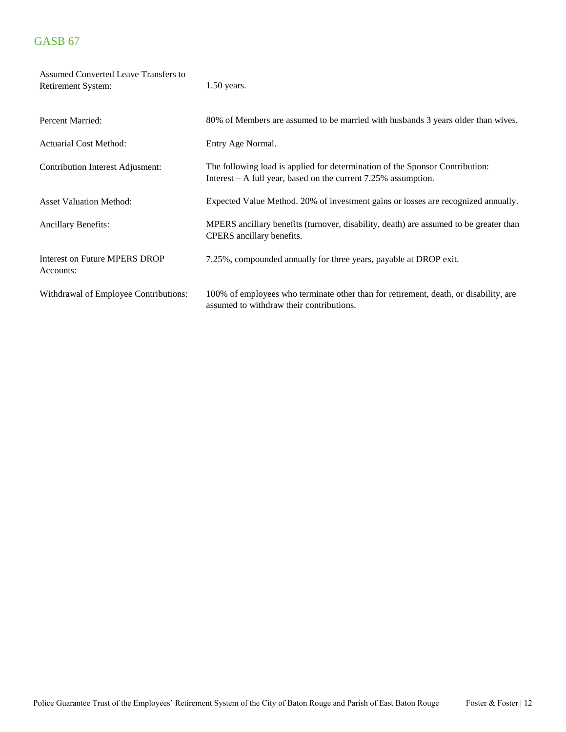| Assumed Converted Leave Transfers to<br>Retirement System: | $1.50$ years.                                                                                                                                    |
|------------------------------------------------------------|--------------------------------------------------------------------------------------------------------------------------------------------------|
| <b>Percent Married:</b>                                    | 80% of Members are assumed to be married with husbands 3 years older than wives.                                                                 |
| <b>Actuarial Cost Method:</b>                              | Entry Age Normal.                                                                                                                                |
| Contribution Interest Adjusment:                           | The following load is applied for determination of the Sponsor Contribution:<br>Interest $-$ A full year, based on the current 7.25% assumption. |
| <b>Asset Valuation Method:</b>                             | Expected Value Method. 20% of investment gains or losses are recognized annually.                                                                |
| <b>Ancillary Benefits:</b>                                 | MPERS ancillary benefits (turnover, disability, death) are assumed to be greater than<br>CPERS ancillary benefits.                               |
| Interest on Future MPERS DROP<br>Accounts:                 | 7.25%, compounded annually for three years, payable at DROP exit.                                                                                |
| Withdrawal of Employee Contributions:                      | 100% of employees who terminate other than for retirement, death, or disability, are<br>assumed to withdraw their contributions.                 |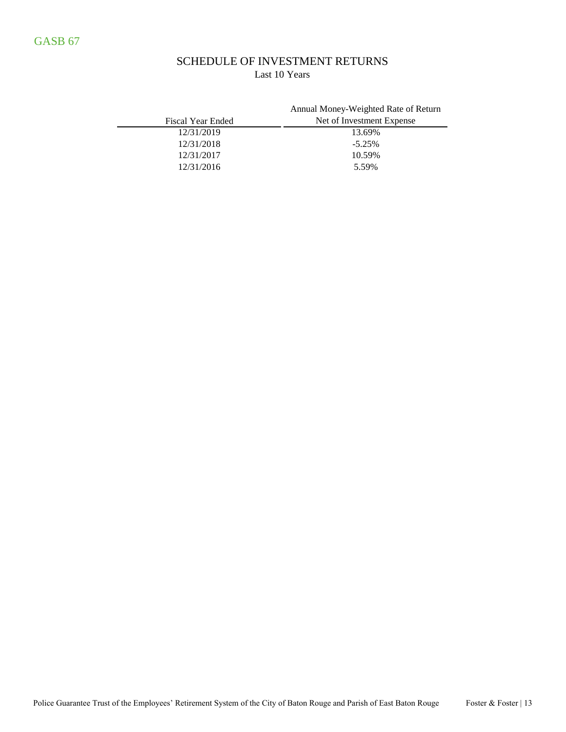### SCHEDULE OF INVESTMENT RETURNS Last 10 Years

| Fiscal Year Ended | Annual Money-Weighted Rate of Return<br>Net of Investment Expense |
|-------------------|-------------------------------------------------------------------|
| 12/31/2019        | 13.69%                                                            |
| 12/31/2018        | $-5.25%$                                                          |
| 12/31/2017        | 10.59%                                                            |
| 12/31/2016        | 5.59%                                                             |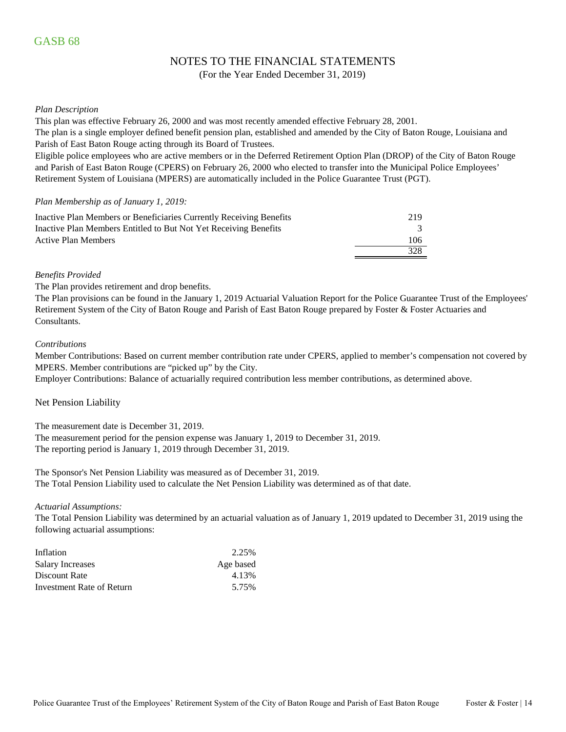### NOTES TO THE FINANCIAL STATEMENTS

(For the Year Ended December 31, 2019)

#### *Plan Description*

This plan was effective February 26, 2000 and was most recently amended effective February 28, 2001.

The plan is a single employer defined benefit pension plan, established and amended by the City of Baton Rouge, Louisiana and Parish of East Baton Rouge acting through its Board of Trustees.

Eligible police employees who are active members or in the Deferred Retirement Option Plan (DROP) of the City of Baton Rouge and Parish of East Baton Rouge (CPERS) on February 26, 2000 who elected to transfer into the Municipal Police Employees' Retirement System of Louisiana (MPERS) are automatically included in the Police Guarantee Trust (PGT).

#### *Plan Membership as of January 1, 2019:*

| Inactive Plan Members or Beneficiaries Currently Receiving Benefits | 219  |
|---------------------------------------------------------------------|------|
| Inactive Plan Members Entitled to But Not Yet Receiving Benefits    |      |
| <b>Active Plan Members</b>                                          | 106. |
|                                                                     | 328  |

#### *Benefits Provided*

The Plan provides retirement and drop benefits.

The Plan provisions can be found in the January 1, 2019 Actuarial Valuation Report for the Police Guarantee Trust of the Employees' Retirement System of the City of Baton Rouge and Parish of East Baton Rouge prepared by Foster & Foster Actuaries and Consultants.

#### *Contributions*

Member Contributions: Based on current member contribution rate under CPERS, applied to member's compensation not covered by MPERS. Member contributions are "picked up" by the City.

Employer Contributions: Balance of actuarially required contribution less member contributions, as determined above.

#### Net Pension Liability

The measurement date is December 31, 2019.

The measurement period for the pension expense was January 1, 2019 to December 31, 2019. The reporting period is January 1, 2019 through December 31, 2019.

The Sponsor's Net Pension Liability was measured as of December 31, 2019. The Total Pension Liability used to calculate the Net Pension Liability was determined as of that date.

#### *Actuarial Assumptions:*

The Total Pension Liability was determined by an actuarial valuation as of January 1, 2019 updated to December 31, 2019 using the following actuarial assumptions:

| Inflation                 | 2.25%     |
|---------------------------|-----------|
| <b>Salary Increases</b>   | Age based |
| Discount Rate             | 4.13%     |
| Investment Rate of Return | 5.75%     |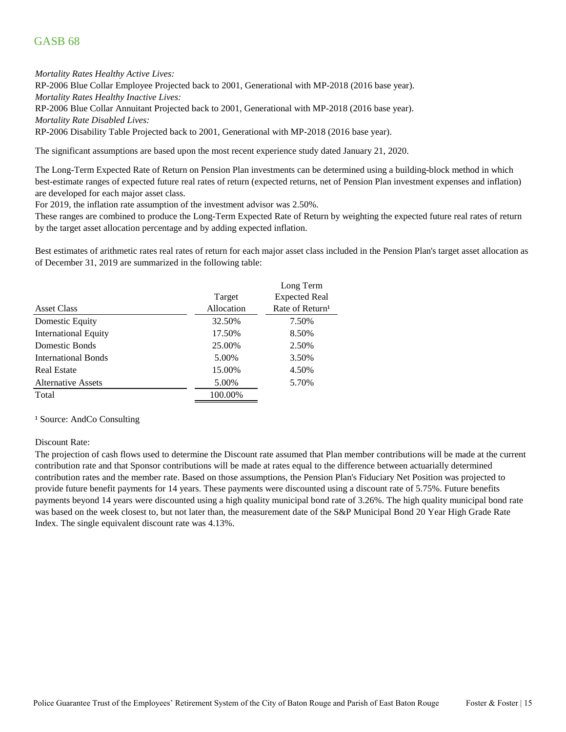*Mortality Rates Healthy Active Lives:*

RP-2006 Blue Collar Employee Projected back to 2001, Generational with MP-2018 (2016 base year).

*Mortality Rates Healthy Inactive Lives:*

RP-2006 Blue Collar Annuitant Projected back to 2001, Generational with MP-2018 (2016 base year). *Mortality Rate Disabled Lives:*

RP-2006 Disability Table Projected back to 2001, Generational with MP-2018 (2016 base year).

The significant assumptions are based upon the most recent experience study dated January 21, 2020.

The Long-Term Expected Rate of Return on Pension Plan investments can be determined using a building-block method in which best-estimate ranges of expected future real rates of return (expected returns, net of Pension Plan investment expenses and inflation) are developed for each major asset class.

For 2019, the inflation rate assumption of the investment advisor was 2.50%.

These ranges are combined to produce the Long-Term Expected Rate of Return by weighting the expected future real rates of return by the target asset allocation percentage and by adding expected inflation.

Best estimates of arithmetic rates real rates of return for each major asset class included in the Pension Plan's target asset allocation as of December 31, 2019 are summarized in the following table:

|                             |            | Long Term                   |
|-----------------------------|------------|-----------------------------|
|                             | Target     | <b>Expected Real</b>        |
| Asset Class                 | Allocation | Rate of Return <sup>1</sup> |
| Domestic Equity             | 32.50%     | 7.50%                       |
| <b>International Equity</b> | 17.50%     | 8.50%                       |
| Domestic Bonds              | 25.00%     | 2.50%                       |
| International Bonds         | 5.00%      | 3.50%                       |
| <b>Real Estate</b>          | 15.00%     | 4.50%                       |
| <b>Alternative Assets</b>   | 5.00%      | 5.70%                       |
| Total                       | 100.00%    |                             |

#### <sup>1</sup> Source: AndCo Consulting

#### Discount Rate:

The projection of cash flows used to determine the Discount rate assumed that Plan member contributions will be made at the current contribution rate and that Sponsor contributions will be made at rates equal to the difference between actuarially determined contribution rates and the member rate. Based on those assumptions, the Pension Plan's Fiduciary Net Position was projected to provide future benefit payments for 14 years. These payments were discounted using a discount rate of 5.75%. Future benefits payments beyond 14 years were discounted using a high quality municipal bond rate of 3.26%. The high quality municipal bond rate was based on the week closest to, but not later than, the measurement date of the S&P Municipal Bond 20 Year High Grade Rate Index. The single equivalent discount rate was 4.13%.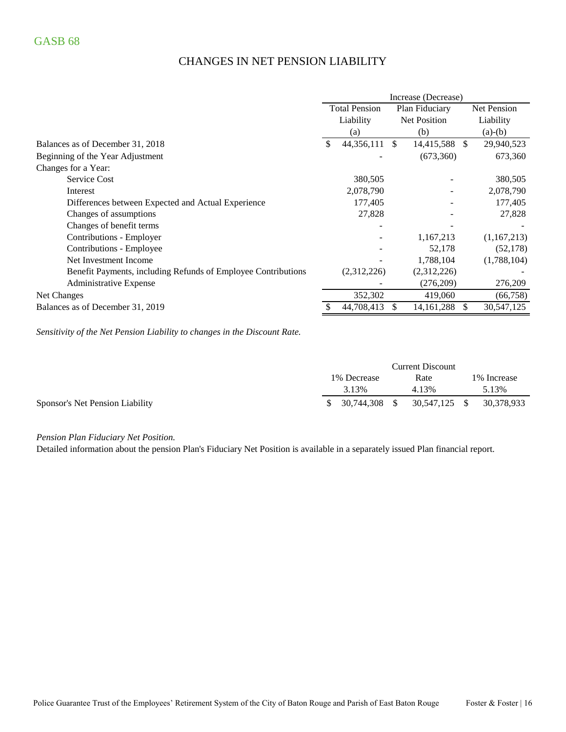# CHANGES IN NET PENSION LIABILITY

|                                                               | Increase (Decrease)  |             |                     |                |               |             |
|---------------------------------------------------------------|----------------------|-------------|---------------------|----------------|---------------|-------------|
|                                                               | <b>Total Pension</b> |             |                     | Plan Fiduciary |               | Net Pension |
|                                                               |                      | Liability   | <b>Net Position</b> |                |               | Liability   |
|                                                               |                      | (a)         |                     | (b)            |               | $(a)-(b)$   |
| Balances as of December 31, 2018                              | \$.                  | 44,356,111  | <sup>\$</sup>       | 14,415,588     | <sup>\$</sup> | 29,940,523  |
| Beginning of the Year Adjustment                              |                      |             |                     | (673,360)      |               | 673,360     |
| Changes for a Year:                                           |                      |             |                     |                |               |             |
| <b>Service Cost</b>                                           |                      | 380,505     |                     |                |               | 380,505     |
| Interest                                                      |                      | 2,078,790   |                     |                |               | 2,078,790   |
| Differences between Expected and Actual Experience            |                      | 177,405     |                     |                |               | 177,405     |
| Changes of assumptions                                        |                      | 27,828      |                     |                |               | 27,828      |
| Changes of benefit terms                                      |                      |             |                     |                |               |             |
| Contributions - Employer                                      |                      |             |                     | 1,167,213      |               | (1,167,213) |
| Contributions - Employee                                      |                      |             |                     | 52,178         |               | (52, 178)   |
| Net Investment Income                                         |                      |             |                     | 1,788,104      |               | (1,788,104) |
| Benefit Payments, including Refunds of Employee Contributions |                      | (2,312,226) |                     | (2,312,226)    |               |             |
| Administrative Expense                                        |                      |             |                     | (276,209)      |               | 276,209     |
| Net Changes                                                   |                      | 352,302     |                     | 419,060        |               | (66,758)    |
| Balances as of December 31, 2019                              |                      | 44,708,413  |                     | 14, 161, 288   | S             | 30,547,125  |

*Sensitivity of the Net Pension Liability to changes in the Discount Rate.*

|                                 |                  | <b>Current Discount</b> |              |
|---------------------------------|------------------|-------------------------|--------------|
|                                 | 1% Decrease      | Rate                    | 1\% Increase |
|                                 | 3.13%            | 4.13%                   | 5.13%        |
| Sponsor's Net Pension Liability | $$30,744,308$ \$ | 30,547,125 \$           | 30,378,933   |

*Pension Plan Fiduciary Net Position.* 

Detailed information about the pension Plan's Fiduciary Net Position is available in a separately issued Plan financial report.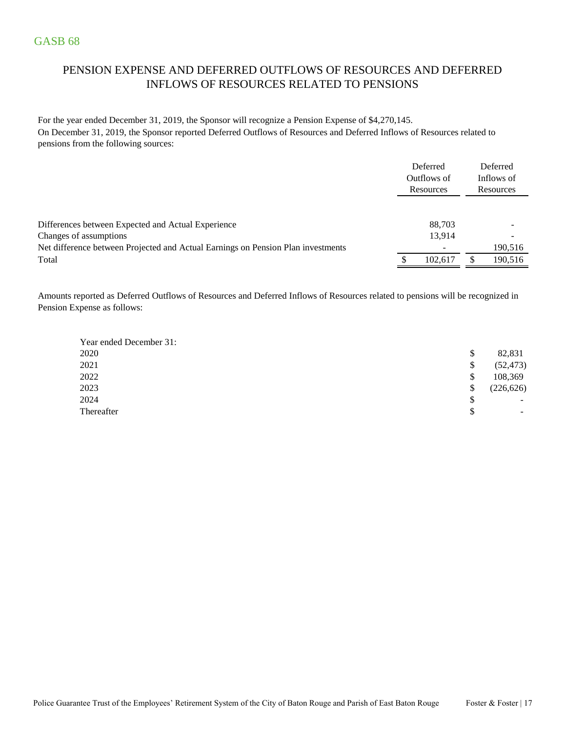# PENSION EXPENSE AND DEFERRED OUTFLOWS OF RESOURCES AND DEFERRED INFLOWS OF RESOURCES RELATED TO PENSIONS

For the year ended December 31, 2019, the Sponsor will recognize a Pension Expense of \$4,270,145. On December 31, 2019, the Sponsor reported Deferred Outflows of Resources and Deferred Inflows of Resources related to pensions from the following sources:

|                                                                                  | Deferred<br>Outflows of<br>Resources | Deferred<br>Inflows of<br>Resources |
|----------------------------------------------------------------------------------|--------------------------------------|-------------------------------------|
|                                                                                  |                                      |                                     |
| Differences between Expected and Actual Experience<br>Changes of assumptions     | 88,703<br>13,914                     | -                                   |
| Net difference between Projected and Actual Earnings on Pension Plan investments |                                      | 190,516                             |
| Total                                                                            | 102.617                              | 190,516                             |

Amounts reported as Deferred Outflows of Resources and Deferred Inflows of Resources related to pensions will be recognized in Pension Expense as follows:

| Year ended December 31: |                  |
|-------------------------|------------------|
| 2020                    | \$<br>82,831     |
| 2021                    | \$<br>(52, 473)  |
| 2022                    | \$<br>108,369    |
| 2023                    | \$<br>(226, 626) |
| 2024                    | \$<br>-          |
| Thereafter              | \$<br>-          |
|                         |                  |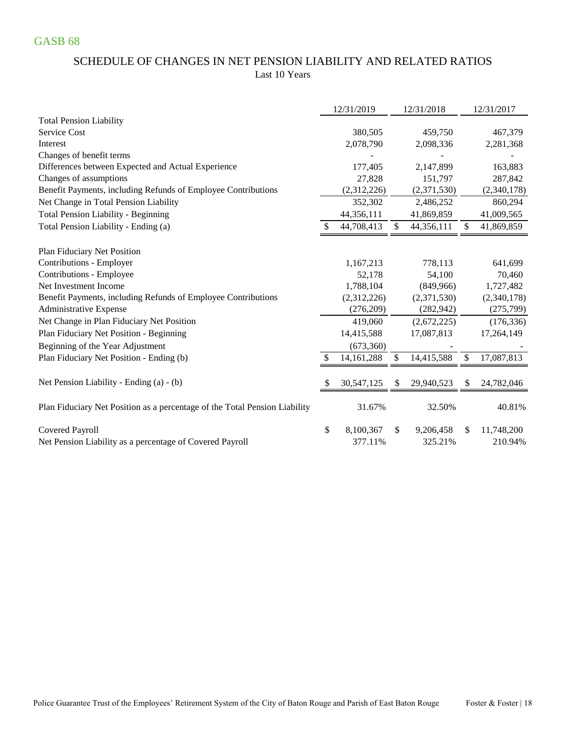### SCHEDULE OF CHANGES IN NET PENSION LIABILITY AND RELATED RATIOS Last 10 Years

|                                                                            | 12/31/2019      |     | 12/31/2018  |     | 12/31/2017  |
|----------------------------------------------------------------------------|-----------------|-----|-------------|-----|-------------|
| <b>Total Pension Liability</b>                                             |                 |     |             |     |             |
| Service Cost                                                               | 380,505         |     | 459,750     |     | 467,379     |
| Interest                                                                   | 2,078,790       |     | 2,098,336   |     | 2,281,368   |
| Changes of benefit terms                                                   |                 |     |             |     |             |
| Differences between Expected and Actual Experience                         | 177,405         |     | 2,147,899   |     | 163,883     |
| Changes of assumptions                                                     | 27,828          |     | 151,797     |     | 287,842     |
| Benefit Payments, including Refunds of Employee Contributions              | (2,312,226)     |     | (2,371,530) |     | (2,340,178) |
| Net Change in Total Pension Liability                                      | 352,302         |     | 2,486,252   |     | 860,294     |
| <b>Total Pension Liability - Beginning</b>                                 | 44,356,111      |     | 41,869,859  |     | 41,009,565  |
| Total Pension Liability - Ending (a)                                       | 44,708,413      | \$. | 44,356,111  | \$  | 41,869,859  |
| Plan Fiduciary Net Position                                                |                 |     |             |     |             |
| Contributions - Employer                                                   | 1,167,213       |     | 778,113     |     | 641,699     |
| Contributions - Employee                                                   | 52,178          |     | 54,100      |     | 70,460      |
| Net Investment Income                                                      | 1,788,104       |     | (849,966)   |     | 1,727,482   |
| Benefit Payments, including Refunds of Employee Contributions              | (2,312,226)     |     | (2,371,530) |     | (2,340,178) |
| <b>Administrative Expense</b>                                              | (276, 209)      |     | (282, 942)  |     | (275, 799)  |
| Net Change in Plan Fiduciary Net Position                                  | 419,060         |     | (2,672,225) |     | (176, 336)  |
| Plan Fiduciary Net Position - Beginning                                    | 14,415,588      |     | 17,087,813  |     | 17,264,149  |
| Beginning of the Year Adjustment                                           | (673,360)       |     |             |     |             |
| Plan Fiduciary Net Position - Ending (b)                                   | 14, 161, 288    | S.  | 14,415,588  | \$  | 17,087,813  |
| Net Pension Liability - Ending (a) - (b)                                   | 30,547,125      |     | 29,940,523  |     | 24,782,046  |
| Plan Fiduciary Net Position as a percentage of the Total Pension Liability | 31.67%          |     | 32.50%      |     | 40.81%      |
| <b>Covered Payroll</b>                                                     | \$<br>8,100,367 | \$. | 9,206,458   | \$. | 11,748,200  |
| Net Pension Liability as a percentage of Covered Payroll                   | 377.11%         |     | 325.21%     |     | 210.94%     |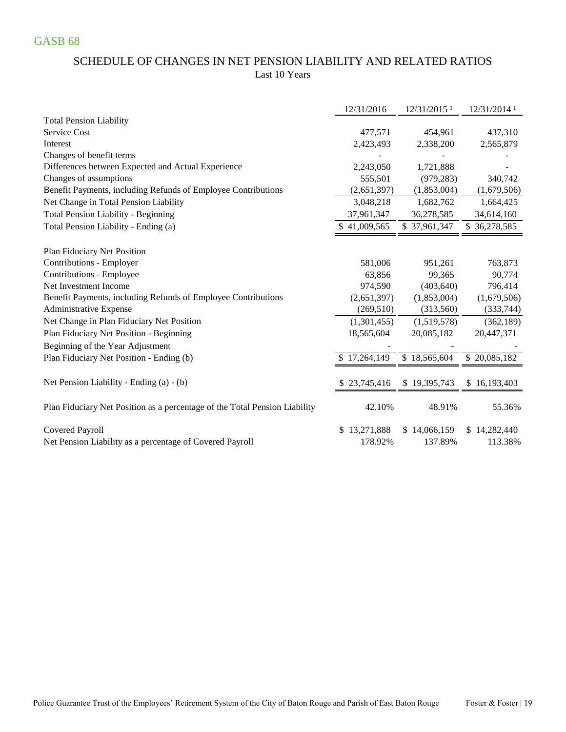### SCHEDULE OF CHANGES IN NET PENSION LIABILITY AND RELATED RATIOS Last 10 Years

|                                                                            | 12/31/2016   | 12/31/2015 <sup>1</sup> | 12/31/2014 1 |
|----------------------------------------------------------------------------|--------------|-------------------------|--------------|
| <b>Total Pension Liability</b>                                             |              |                         |              |
| Service Cost                                                               | 477,571      | 454,961                 | 437,310      |
| Interest                                                                   | 2,423,493    | 2,338,200               | 2,565,879    |
| Changes of benefit terms                                                   |              |                         |              |
| Differences between Expected and Actual Experience                         | 2,243,050    | 1,721,888               |              |
| Changes of assumptions                                                     | 555,501      | (979, 283)              | 340,742      |
| Benefit Payments, including Refunds of Employee Contributions              | (2,651,397)  | (1,853,004)             | (1,679,506)  |
| Net Change in Total Pension Liability                                      | 3,048,218    | 1,682,762               | 1,664,425    |
| <b>Total Pension Liability - Beginning</b>                                 | 37,961,347   | 36,278,585              | 34,614,160   |
| Total Pension Liability - Ending (a)                                       | \$41,009,565 | \$37,961,347            | \$36,278,585 |
| Plan Fiduciary Net Position                                                |              |                         |              |
| Contributions - Employer                                                   | 581,006      | 951,261                 | 763,873      |
| Contributions - Employee                                                   | 63,856       | 99,365                  | 90,774       |
| Net Investment Income                                                      | 974,590      | (403, 640)              | 796,414      |
| Benefit Payments, including Refunds of Employee Contributions              | (2,651,397)  | (1,853,004)             | (1,679,506)  |
| <b>Administrative Expense</b>                                              | (269, 510)   | (313,560)               | (333,744)    |
| Net Change in Plan Fiduciary Net Position                                  | (1,301,455)  | (1,519,578)             | (362, 189)   |
| Plan Fiduciary Net Position - Beginning                                    | 18,565,604   | 20,085,182              | 20,447,371   |
| Beginning of the Year Adjustment                                           |              |                         |              |
| Plan Fiduciary Net Position - Ending (b)                                   | \$17,264,149 | \$18,565,604            | \$20,085,182 |
|                                                                            |              |                         |              |
| Net Pension Liability - Ending (a) - (b)                                   | \$23,745,416 | \$19,395,743            | \$16,193,403 |
| Plan Fiduciary Net Position as a percentage of the Total Pension Liability | 42.10%       | 48.91%                  | 55.36%       |
| Covered Payroll                                                            | \$13,271,888 | \$14,066,159            | 14,282,440   |
| Net Pension Liability as a percentage of Covered Payroll                   | 178.92%      | 137.89%                 | 113.38%      |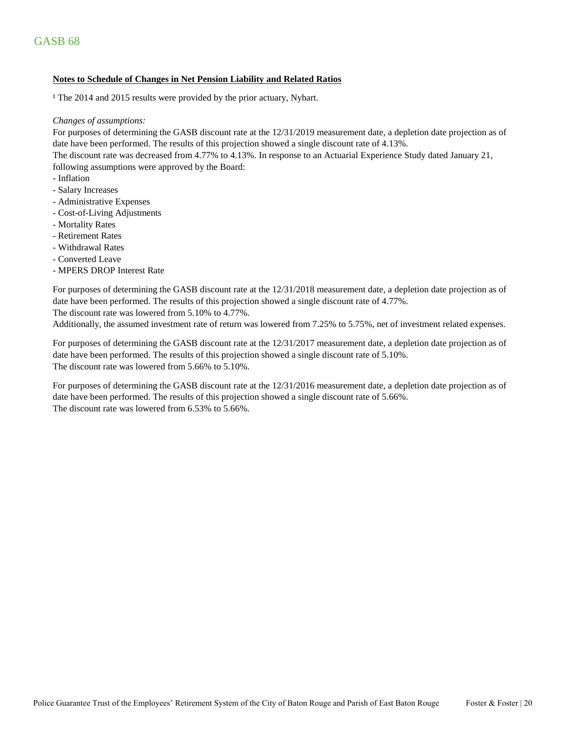#### **Notes to Schedule of Changes in Net Pension Liability and Related Ratios**

<sup>1</sup> The 2014 and 2015 results were provided by the prior actuary, Nyhart.

#### *Changes of assumptions:*

For purposes of determining the GASB discount rate at the 12/31/2019 measurement date, a depletion date projection as of date have been performed. The results of this projection showed a single discount rate of 4.13%.

The discount rate was decreased from 4.77% to 4.13%. In response to an Actuarial Experience Study dated January 21, following assumptions were approved by the Board:

- Inflation
- Salary Increases
- Administrative Expenses
- Cost-of-Living Adjustments
- Mortality Rates
- Retirement Rates
- Withdrawal Rates
- Converted Leave
- MPERS DROP Interest Rate

For purposes of determining the GASB discount rate at the 12/31/2018 measurement date, a depletion date projection as of date have been performed. The results of this projection showed a single discount rate of 4.77%.

The discount rate was lowered from 5.10% to 4.77%.

Additionally, the assumed investment rate of return was lowered from 7.25% to 5.75%, net of investment related expenses.

For purposes of determining the GASB discount rate at the 12/31/2017 measurement date, a depletion date projection as of date have been performed. The results of this projection showed a single discount rate of 5.10%. The discount rate was lowered from 5.66% to 5.10%.

The discount rate was lowered from 6.53% to 5.66%. For purposes of determining the GASB discount rate at the 12/31/2016 measurement date, a depletion date projection as of date have been performed. The results of this projection showed a single discount rate of 5.66%.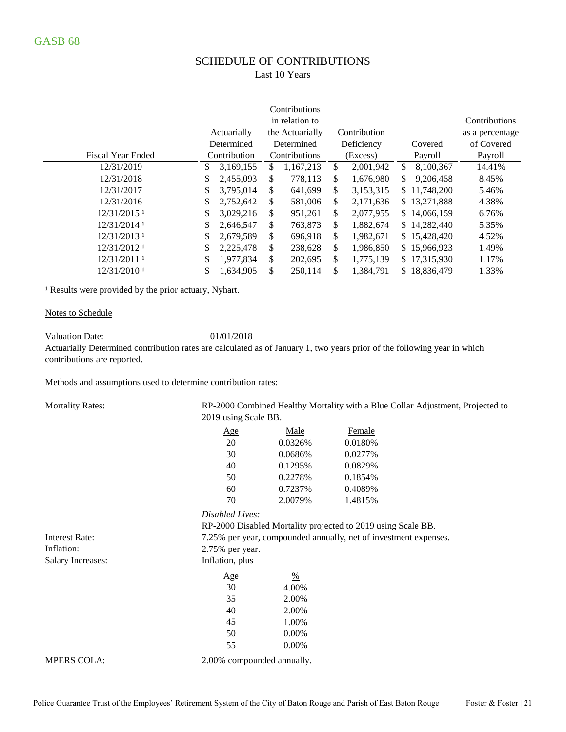# SCHEDULE OF CONTRIBUTIONS

Last 10 Years

|                           |    |              |                 | Contributions   |    |              |                 |
|---------------------------|----|--------------|-----------------|-----------------|----|--------------|-----------------|
|                           |    | Actuarially  | the Actuarially | Contribution    |    |              | as a percentage |
|                           |    | Determined   | Determined      | Deficiency      |    | Covered      | of Covered      |
| <b>Fiscal Year Ended</b>  |    | Contribution | Contributions   | (Excess)        |    | Payroll      | Payroll         |
| 12/31/2019                | \$ | 3,169,155    | \$<br>1,167,213 | \$<br>2,001,942 | \$ | 8,100,367    | 14.41%          |
| 12/31/2018                | S  | 2,455,093    | \$<br>778,113   | \$<br>1,676,980 | \$ | 9,206,458    | 8.45%           |
| 12/31/2017                | \$ | 3,795,014    | \$<br>641,699   | \$<br>3,153,315 |    | \$11,748,200 | 5.46%           |
| 12/31/2016                | \$ | 2,752,642    | \$<br>581,006   | \$<br>2,171,636 |    | \$13,271,888 | 4.38%           |
| $12/31/2015$ <sup>1</sup> | \$ | 3,029,216    | \$<br>951,261   | \$<br>2,077,955 |    | \$14,066,159 | 6.76%           |
| 12/31/2014 1              | \$ | 2,646,547    | \$<br>763,873   | \$<br>1,882,674 |    | \$14,282,440 | 5.35%           |
| 12/31/2013 1              | \$ | 2,679,589    | \$<br>696,918   | \$<br>1,982,671 |    | \$15,428,420 | 4.52%           |
| 12/31/2012 1              | \$ | 2,225,478    | \$<br>238,628   | \$<br>1,986,850 |    | \$15,966,923 | 1.49%           |
| 12/31/2011 1              | \$ | 1,977,834    | \$<br>202,695   | \$<br>1,775,139 |    | \$17,315,930 | 1.17%           |
| 12/31/2010 <sup>1</sup>   | \$ | 1,634,905    | \$<br>250,114   | \$<br>1,384,791 |    | \$18,836,479 | 1.33%           |

<sup>1</sup> Results were provided by the prior actuary, Nyhart.

#### Notes to Schedule

Valuation Date: 01/01/2018

Actuarially Determined contribution rates are calculated as of January 1, two years prior of the following year in which contributions are reported.

Methods and assumptions used to determine contribution rates:

| <b>Mortality Rates:</b>  |                      |                                                                  |         | RP-2000 Combined Healthy Mortality with a Blue Collar Adjustment, Projected to |  |  |  |  |  |  |  |  |  |  |
|--------------------------|----------------------|------------------------------------------------------------------|---------|--------------------------------------------------------------------------------|--|--|--|--|--|--|--|--|--|--|
|                          | 2019 using Scale BB. |                                                                  |         |                                                                                |  |  |  |  |  |  |  |  |  |  |
|                          | Age                  | Male                                                             | Female  |                                                                                |  |  |  |  |  |  |  |  |  |  |
|                          | 20                   | 0.0326%                                                          | 0.0180% |                                                                                |  |  |  |  |  |  |  |  |  |  |
|                          | 30                   | 0.0686%                                                          | 0.0277% |                                                                                |  |  |  |  |  |  |  |  |  |  |
|                          | 40                   | 0.1295%                                                          | 0.0829% |                                                                                |  |  |  |  |  |  |  |  |  |  |
|                          | 50                   | 0.2278%                                                          | 0.1854% |                                                                                |  |  |  |  |  |  |  |  |  |  |
|                          | 60                   | 0.7237%                                                          | 0.4089% |                                                                                |  |  |  |  |  |  |  |  |  |  |
|                          | 70                   | 2.0079%                                                          | 1.4815% |                                                                                |  |  |  |  |  |  |  |  |  |  |
|                          | Disabled Lives:      |                                                                  |         |                                                                                |  |  |  |  |  |  |  |  |  |  |
|                          |                      | RP-2000 Disabled Mortality projected to 2019 using Scale BB.     |         |                                                                                |  |  |  |  |  |  |  |  |  |  |
| <b>Interest Rate:</b>    |                      | 7.25% per year, compounded annually, net of investment expenses. |         |                                                                                |  |  |  |  |  |  |  |  |  |  |
| Inflation:               | 2.75% per year.      |                                                                  |         |                                                                                |  |  |  |  |  |  |  |  |  |  |
| <b>Salary Increases:</b> | Inflation, plus      |                                                                  |         |                                                                                |  |  |  |  |  |  |  |  |  |  |
|                          | <u>Age</u>           | $\frac{0}{0}$                                                    |         |                                                                                |  |  |  |  |  |  |  |  |  |  |
|                          | 30                   | 4.00%                                                            |         |                                                                                |  |  |  |  |  |  |  |  |  |  |
|                          | 35                   | 2.00%                                                            |         |                                                                                |  |  |  |  |  |  |  |  |  |  |
|                          | 40                   | 2.00%                                                            |         |                                                                                |  |  |  |  |  |  |  |  |  |  |
|                          | 45                   | 1.00%                                                            |         |                                                                                |  |  |  |  |  |  |  |  |  |  |
|                          | 50                   | 0.00%                                                            |         |                                                                                |  |  |  |  |  |  |  |  |  |  |
|                          | 55                   | 0.00%                                                            |         |                                                                                |  |  |  |  |  |  |  |  |  |  |
|                          |                      |                                                                  |         |                                                                                |  |  |  |  |  |  |  |  |  |  |

MPERS COLA:  $2.00\%$  compounded annually.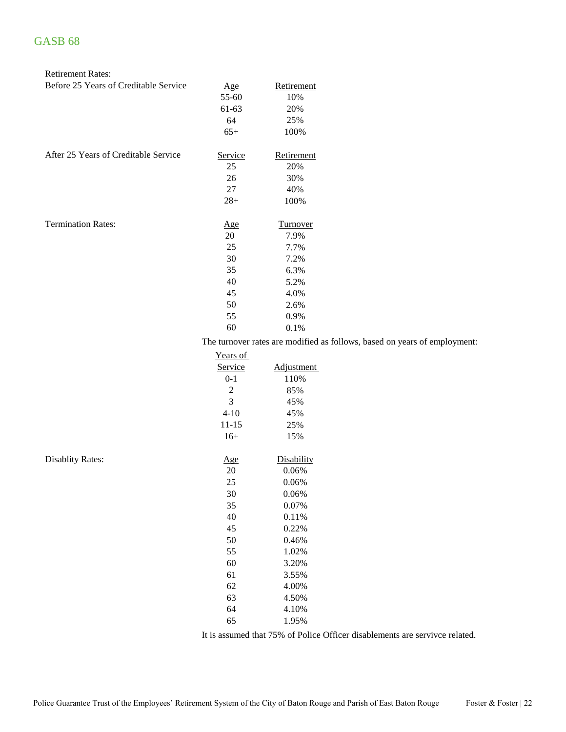Disablity Rates:

| <b>Retirement Rates:</b>              |            |                                    |
|---------------------------------------|------------|------------------------------------|
| Before 25 Years of Creditable Service | <u>Age</u> | Retirement                         |
|                                       | 55-60      | 10%                                |
|                                       | 61-63      | 20%                                |
|                                       | 64         | 25%                                |
|                                       | $65+$      | 100%                               |
| After 25 Years of Creditable Service  | Service    | Retirement                         |
|                                       | 25         | 20%                                |
|                                       | 26         | 30%                                |
|                                       | 27         | 40%                                |
|                                       | $28+$      | 100%                               |
| <b>Termination Rates:</b>             | <u>Age</u> | <u>Turnover</u>                    |
|                                       | 20         | 7.9%                               |
|                                       | 25         | 7.7%                               |
|                                       | 30         | 7.2%                               |
|                                       | 35         | 6.3%                               |
|                                       | 40         | 5.2%                               |
|                                       | 45         | 4.0%                               |
|                                       | 50         | 2.6%                               |
|                                       | 55         | 0.9%                               |
|                                       | 60         | 0.1%                               |
|                                       |            | The turnover rates are modified as |

follows, based on years of employment:

| Years of       |            |
|----------------|------------|
| Service        | Adjustment |
| $0 - 1$        | 110%       |
| $\overline{c}$ | 85%        |
| 3              | 45%        |
| $4 - 10$       | 45%        |
| 11-15          | 25%        |
| $16+$          | 15%        |
|                |            |
| <u>Age</u>     | Disability |
| 20             | 0.06%      |
| 25             | 0.06%      |
| 30             | 0.06%      |
| 35             | 0.07%      |
| 40             | 0.11%      |
| 45             | 0.22%      |
| 50             | 0.46%      |
| 55             | 1.02%      |
| 60             | 3.20%      |
| 61             | 3.55%      |
| 62             | 4.00%      |
| 63             | 4.50%      |
| 64             | 4.10%      |
| 65             | 1.95%      |
|                |            |

It is assumed that 75% of Police Officer disablements are servivce related.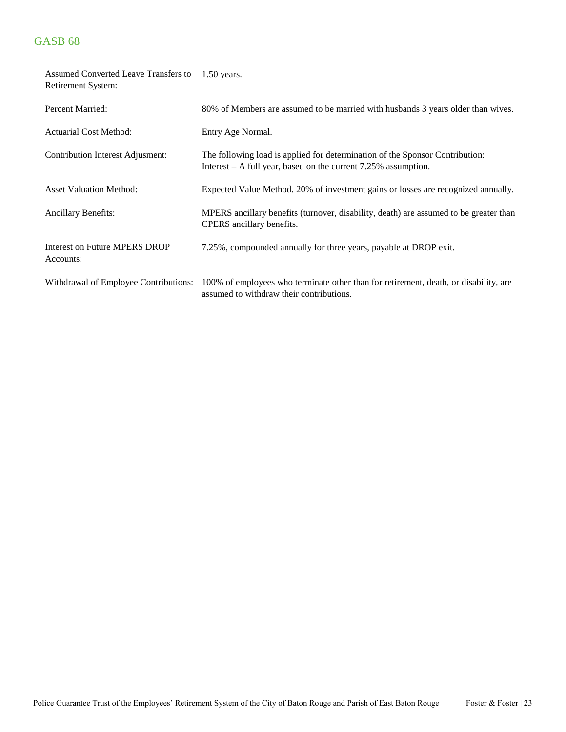| Assumed Converted Leave Transfers to<br>Retirement System: | $1.50$ years.                                                                                                                                    |
|------------------------------------------------------------|--------------------------------------------------------------------------------------------------------------------------------------------------|
| Percent Married:                                           | 80% of Members are assumed to be married with husbands 3 years older than wives.                                                                 |
| <b>Actuarial Cost Method:</b>                              | Entry Age Normal.                                                                                                                                |
| Contribution Interest Adjusment:                           | The following load is applied for determination of the Sponsor Contribution:<br>Interest $- A$ full year, based on the current 7.25% assumption. |
| <b>Asset Valuation Method:</b>                             | Expected Value Method. 20% of investment gains or losses are recognized annually.                                                                |
| <b>Ancillary Benefits:</b>                                 | MPERS ancillary benefits (turnover, disability, death) are assumed to be greater than<br>CPERS ancillary benefits.                               |
| <b>Interest on Future MPERS DROP</b><br>Accounts:          | 7.25%, compounded annually for three years, payable at DROP exit.                                                                                |
| Withdrawal of Employee Contributions:                      | 100% of employees who terminate other than for retirement, death, or disability, are<br>assumed to withdraw their contributions.                 |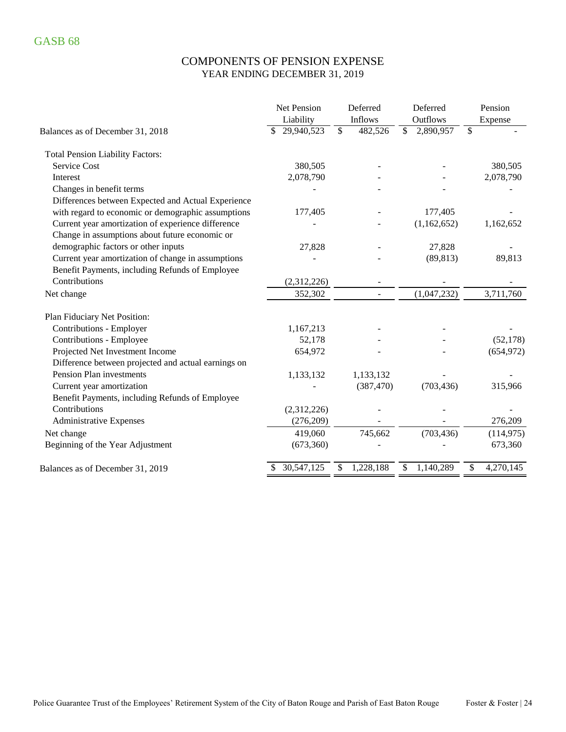### COMPONENTS OF PENSION EXPENSE YEAR ENDING DECEMBER 31, 2019

|                                                     | Net Pension | Deferred                            | Deferred                              | Pension         |
|-----------------------------------------------------|-------------|-------------------------------------|---------------------------------------|-----------------|
|                                                     | Liability   | Inflows                             | Outflows                              | Expense         |
| Balances as of December 31, 2018                    | 29,940,523  | $\overline{\mathcal{S}}$<br>482,526 | $\overline{\mathcal{S}}$<br>2,890,957 | \$              |
| <b>Total Pension Liability Factors:</b>             |             |                                     |                                       |                 |
| <b>Service Cost</b>                                 | 380,505     |                                     |                                       | 380,505         |
| Interest                                            | 2,078,790   |                                     |                                       | 2,078,790       |
| Changes in benefit terms                            |             |                                     |                                       |                 |
| Differences between Expected and Actual Experience  |             |                                     |                                       |                 |
| with regard to economic or demographic assumptions  | 177,405     |                                     | 177,405                               |                 |
| Current year amortization of experience difference  |             |                                     | (1,162,652)                           | 1,162,652       |
| Change in assumptions about future economic or      |             |                                     |                                       |                 |
| demographic factors or other inputs                 | 27,828      |                                     | 27,828                                |                 |
| Current year amortization of change in assumptions  |             |                                     | (89, 813)                             | 89,813          |
| Benefit Payments, including Refunds of Employee     |             |                                     |                                       |                 |
| Contributions                                       | (2,312,226) |                                     |                                       |                 |
| Net change                                          | 352,302     | $\blacksquare$                      | (1,047,232)                           | 3,711,760       |
| Plan Fiduciary Net Position:                        |             |                                     |                                       |                 |
| Contributions - Employer                            | 1,167,213   |                                     |                                       |                 |
| Contributions - Employee                            | 52,178      |                                     |                                       | (52, 178)       |
| Projected Net Investment Income                     | 654,972     |                                     |                                       | (654, 972)      |
| Difference between projected and actual earnings on |             |                                     |                                       |                 |
| Pension Plan investments                            | 1,133,132   | 1,133,132                           |                                       |                 |
| Current year amortization                           |             | (387, 470)                          | (703, 436)                            | 315,966         |
| Benefit Payments, including Refunds of Employee     |             |                                     |                                       |                 |
| Contributions                                       | (2,312,226) |                                     |                                       |                 |
| <b>Administrative Expenses</b>                      | (276,209)   |                                     |                                       | 276,209         |
| Net change                                          | 419,060     | 745,662                             | (703, 436)                            | (114, 975)      |
| Beginning of the Year Adjustment                    | (673,360)   |                                     |                                       | 673,360         |
| Balances as of December 31, 2019                    | 30,547,125  | 1,228,188<br>\$                     | 1,140,289<br>\$                       | 4,270,145<br>\$ |
|                                                     |             |                                     |                                       |                 |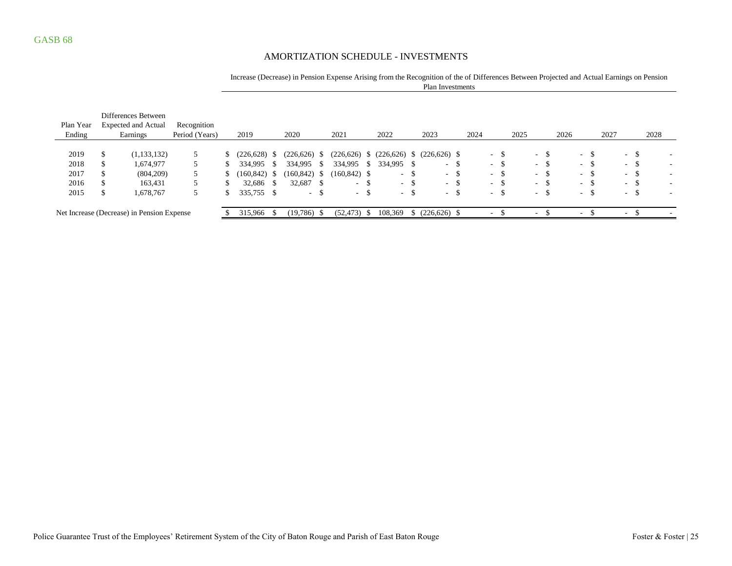#### AMORTIZATION SCHEDULE - INVESTMENTS

#### Increase (Decrease) in Pension Expense Arising from the Recognition of the of Differences Between Projected and Actual Earnings on Pension Plan Investments

| Plan Year<br>Ending |     | Differences Between<br><b>Expected and Actual</b><br>Earnings | Recognition<br>Period (Years) | 2019            |      | 2020            |      | 2021            |              | 2022          |               | 2023               |     | 2024 |                          | 2025 |        |      | 2026       |     | 2027 |                          |        | 2028 |        |
|---------------------|-----|---------------------------------------------------------------|-------------------------------|-----------------|------|-----------------|------|-----------------|--------------|---------------|---------------|--------------------|-----|------|--------------------------|------|--------|------|------------|-----|------|--------------------------|--------|------|--------|
|                     |     |                                                               |                               |                 |      |                 |      |                 |              |               |               |                    |     |      |                          |      |        |      |            |     |      |                          |        |      |        |
| 2019                |     | (1, 133, 132)                                                 |                               | (226, 628)      |      | (226, 626)      | ъ    | (226, 626)      | <sup>S</sup> | (226, 626)    |               | $$^{(226,626)}$ \$ |     |      | $-$ \$                   |      | $\sim$ | - 35 | $\sim$ $-$ | -\$ |      |                          | $-$ \$ |      |        |
| 2018                | Ф   | 1,674,977                                                     |                               | 334.995         | -8   | 334,995         | P.   | 334,995         | -S           | 334,995       |               | $\sim$             | -\$ |      | $-$ \$                   |      | $\sim$ | - 55 | $\sim$     | -\$ |      |                          | $-$ \$ |      |        |
| 2017                | ۰D. | (804, 209)                                                    |                               | $(160, 842)$ \$ |      | $(160, 842)$ \$ |      | $(160, 842)$ \$ |              | $\sim$ $\sim$ | <sup>\$</sup> | $-$ \$             |     |      | $- S$                    |      | $ -$   | -S   | $\sim$ $-$ | -\$ |      |                          | $- S$  |      |        |
| 2016                |     | 163,431                                                       |                               | 32.686          | - \$ | 32.687          | - \$ | $- S$           |              |               | $-$ \$        | $\sim$             | -\$ |      | - 5                      |      | $ -$   | - 35 | $\sim$     | -\$ |      |                          | - ა    |      |        |
| 2015                |     | 1,678,767                                                     |                               | 335,755 \$      |      | $\sim$          | S    | $- S$           |              | $\sim$        | <sup>\$</sup> | $\sim$ 10 $\pm$    | S.  |      | - 25<br>$\sim$           |      | $\sim$ | - 35 | $\sim$     | -\$ |      | $\sim$                   |        |      | $\sim$ |
|                     |     | Net Increase (Decrease) in Pension Expense                    |                               | 315,966         | - \$ | (19,786)        |      | $(52, 473)$ \$  |              | 108,369       |               | $(226, 626)$ \$    |     |      | $\overline{\phantom{a}}$ |      | $\sim$ |      | $\sim$     |     |      | $\overline{\phantom{a}}$ |        |      |        |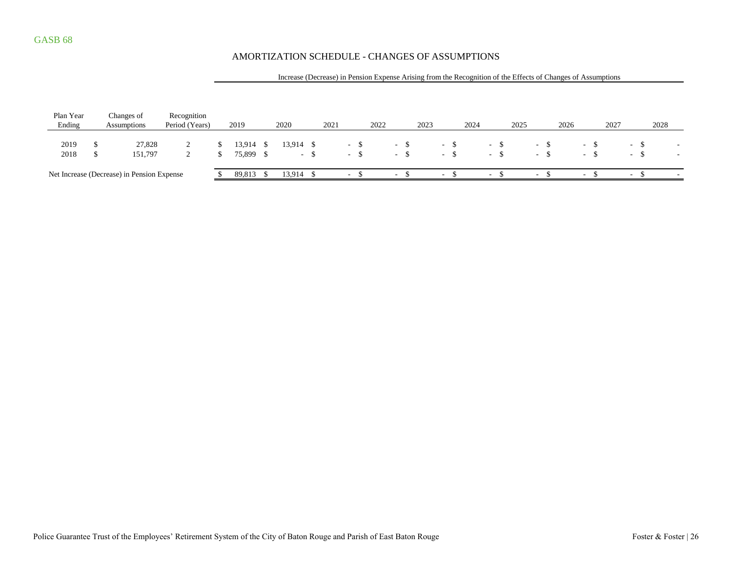### AMORTIZATION SCHEDULE - CHANGES OF ASSUMPTIONS

#### Increase (Decrease) in Pension Expense Arising from the Recognition of the Effects of Changes of Assumptions

| Plan Year<br>Ending | Changes of<br>Assumptions                  | Recognition<br>Period (Years) | 2019                   | 2020      |     | 2021 |                  | 2022 |      |       | 2023 |                     | 2024 |               | 2025 |                         | 2026 |                  | 2027 |                      | 2028 |                          |
|---------------------|--------------------------------------------|-------------------------------|------------------------|-----------|-----|------|------------------|------|------|-------|------|---------------------|------|---------------|------|-------------------------|------|------------------|------|----------------------|------|--------------------------|
| 2019<br>2018        | 27,828<br>151.797                          | ∸                             | 13,914 \$<br>75,899 \$ | 13,914 \$ | - ১ |      | $\sim$<br>$\sim$ |      | - 5  | $-$ S |      | $\sim 100$<br>$- S$ |      | - ১<br>$\sim$ |      | $\sim$<br><b>COLUMN</b> |      | $\sim$<br>$\sim$ |      | - 5<br>$\sim$ $\sim$ |      | $\overline{\phantom{a}}$ |
|                     | Net Increase (Decrease) in Pension Expense |                               | 89,813 \$              | 13,914    |     |      | $\sim$           |      | $ -$ |       |      | $\sim$ 10 $\,$      |      | $\sim$        |      | $\sim$                  |      | $\sim$           |      | $\sim$               |      | $\sim$                   |